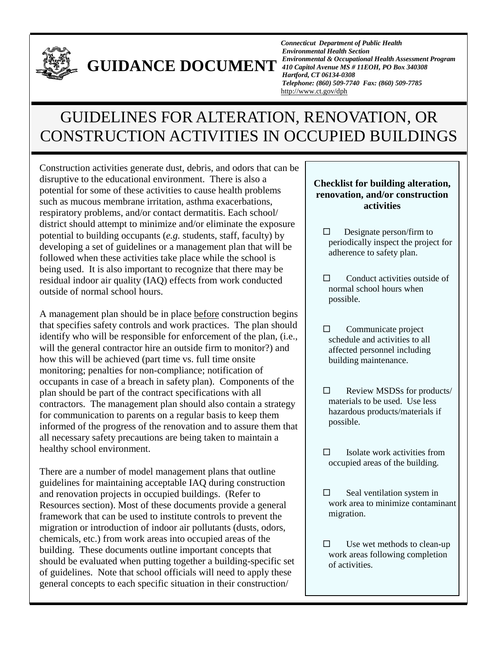

# **GUIDANCE DOCUMENT** *<sup>Environmental & Occupational Health Assessment*</sup>

*Connecticut Department of Public Health Environmental Health Section Environmental & Occupational Health Assessment Program Hartford, CT 06134-0308 Telephone: (860) 509-7740 Fax: (860) 509-7785*  http://www.ct.gov/dph

# GUIDELINES FOR ALTERATION, RENOVATION, OR CONSTRUCTION ACTIVITIES IN OCCUPIED BUILDINGS

Construction activities generate dust, debris, and odors that can be disruptive to the educational environment. There is also a potential for some of these activities to cause health problems such as mucous membrane irritation, asthma exacerbations, respiratory problems, and/or contact dermatitis. Each school/ district should attempt to minimize and/or eliminate the exposure potential to building occupants (*e.g.* students, staff, faculty) by developing a set of guidelines or a management plan that will be followed when these activities take place while the school is being used. It is also important to recognize that there may be residual indoor air quality (IAQ) effects from work conducted outside of normal school hours.

A management plan should be in place before construction begins that specifies safety controls and work practices. The plan should identify who will be responsible for enforcement of the plan, (i.e., will the general contractor hire an outside firm to monitor?) and how this will be achieved (part time vs. full time onsite monitoring; penalties for non-compliance; notification of occupants in case of a breach in safety plan). Components of the plan should be part of the contract specifications with all contractors. The management plan should also contain a strategy for communication to parents on a regular basis to keep them informed of the progress of the renovation and to assure them that all necessary safety precautions are being taken to maintain a healthy school environment.

There are a number of model management plans that outline guidelines for maintaining acceptable IAQ during construction and renovation projects in occupied buildings. (Refer to Resources section). Most of these documents provide a general framework that can be used to institute controls to prevent the migration or introduction of indoor air pollutants (dusts, odors, chemicals, etc.) from work areas into occupied areas of the building. These documents outline important concepts that should be evaluated when putting together a building-specific set of guidelines. Note that school officials will need to apply these general concepts to each specific situation in their construction/

#### **Checklist for building alteration, renovation, and/or construction activities**

- $\square$  Designate person/firm to periodically inspect the project for adherence to safety plan.
- $\Box$  Conduct activities outside of normal school hours when possible.
- $\Box$  Communicate project schedule and activities to all affected personnel including building maintenance.
- $\Box$  Review MSDSs for products/ materials to be used. Use less hazardous products/materials if possible.
- $\square$  Isolate work activities from occupied areas of the building.
- $\square$  Seal ventilation system in work area to minimize contaminant migration.
- $\square$  Use wet methods to clean-up work areas following completion of activities.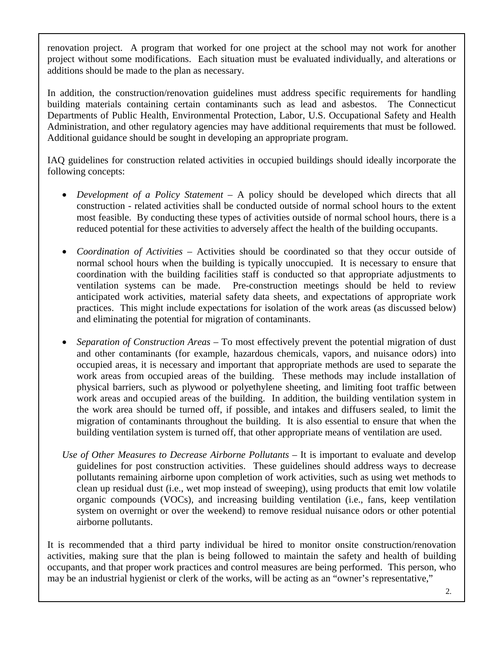renovation project. A program that worked for one project at the school may not work for another project without some modifications. Each situation must be evaluated individually, and alterations or additions should be made to the plan as necessary.

In addition, the construction/renovation guidelines must address specific requirements for handling building materials containing certain contaminants such as lead and asbestos. The Connecticut Departments of Public Health, Environmental Protection, Labor, U.S. Occupational Safety and Health Administration, and other regulatory agencies may have additional requirements that must be followed. Additional guidance should be sought in developing an appropriate program.

IAQ guidelines for construction related activities in occupied buildings should ideally incorporate the following concepts:

- *Development of a Policy Statement* A policy should be developed which directs that all construction - related activities shall be conducted outside of normal school hours to the extent most feasible. By conducting these types of activities outside of normal school hours, there is a reduced potential for these activities to adversely affect the health of the building occupants.
- *Coordination of Activities* Activities should be coordinated so that they occur outside of normal school hours when the building is typically unoccupied. It is necessary to ensure that coordination with the building facilities staff is conducted so that appropriate adjustments to ventilation systems can be made. Pre-construction meetings should be held to review anticipated work activities, material safety data sheets, and expectations of appropriate work practices. This might include expectations for isolation of the work areas (as discussed below) and eliminating the potential for migration of contaminants.
- *Separation of Construction Areas* To most effectively prevent the potential migration of dust and other contaminants (for example, hazardous chemicals, vapors, and nuisance odors) into occupied areas, it is necessary and important that appropriate methods are used to separate the work areas from occupied areas of the building. These methods may include installation of physical barriers, such as plywood or polyethylene sheeting, and limiting foot traffic between work areas and occupied areas of the building. In addition, the building ventilation system in the work area should be turned off, if possible, and intakes and diffusers sealed, to limit the migration of contaminants throughout the building. It is also essential to ensure that when the building ventilation system is turned off, that other appropriate means of ventilation are used.
- *Use of Other Measures to Decrease Airborne Pollutants* It is important to evaluate and develop guidelines for post construction activities. These guidelines should address ways to decrease pollutants remaining airborne upon completion of work activities, such as using wet methods to clean up residual dust (i.e., wet mop instead of sweeping), using products that emit low volatile organic compounds (VOCs), and increasing building ventilation (i.e., fans, keep ventilation system on overnight or over the weekend) to remove residual nuisance odors or other potential airborne pollutants.

It is recommended that a third party individual be hired to monitor onsite construction/renovation activities, making sure that the plan is being followed to maintain the safety and health of building occupants, and that proper work practices and control measures are being performed. This person, who may be an industrial hygienist or clerk of the works, will be acting as an "owner's representative,"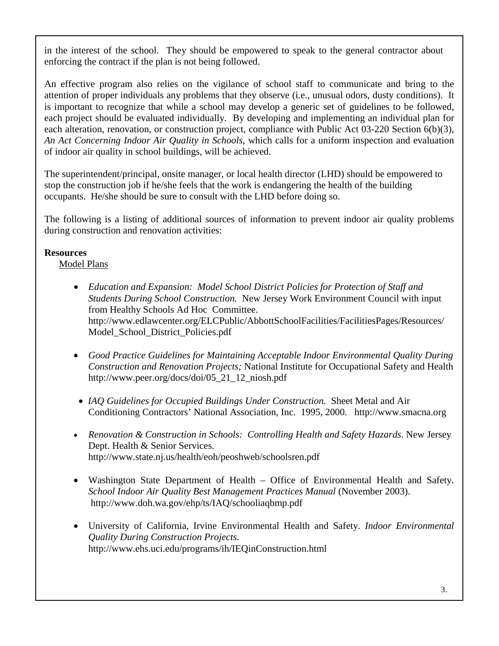in the interest of the school. They should be empowered to speak to the general contractor about enforcing the contract if the plan is not being followed.

An effective program also relies on the vigilance of school staff to communicate and bring to the attention of proper individuals any problems that they observe (i.e., unusual odors, dusty conditions). It is important to recognize that while a school may develop a generic set of guidelines to be followed, each project should be evaluated individually. By developing and implementing an individual plan for each alteration, renovation, or construction project, compliance with Public Act 03-220 Section 6(b)(3), *An Act Concerning Indoor Air Quality in Schools*, which calls for a uniform inspection and evaluation of indoor air quality in school buildings, will be achieved.

The superintendent/principal, onsite manager, or local health director (LHD) should be empowered to stop the construction job if he/she feels that the work is endangering the health of the building occupants. He/she should be sure to consult with the LHD before doing so.

The following is a listing of additional sources of information to prevent indoor air quality problems during construction and renovation activities:

### **Resources**

Model Plans

- *Education and Expansion: Model School District Policies for Protection of Staff and Students During School Construction.* New Jersey Work Environment Council with input from Healthy Schools Ad Hoc Committee. http://www.edlawcenter.org/ELCPublic/AbbottSchoolFacilities/FacilitiesPages/Resources/ Model\_School\_District\_Policies.pdf
- *Good Practice Guidelines for Maintaining Acceptable Indoor Environmental Quality During Construction and Renovation Projects;* National Institute for Occupational Safety and Health http://www.peer.org/docs/doi/05\_21\_12\_niosh.pdf
- IAO Guidelines for Occupied Buildings Under Construction. Sheet Metal and Air Conditioning Contractors' National Association, Inc. 1995, 2000. http://www.smacna.org
- *Renovation & Construction in Schools: Controlling Health and Safety Hazards*. New Jersey Dept. Health & Senior Services. http://www.state.nj.us/health/eoh/peoshweb/schoolsren.pdf
- Washington State Department of Health Office of Environmental Health and Safety. *School Indoor Air Quality Best Management Practices Manual* (November 2003). http://www.doh.wa.gov/ehp/ts/IAQ/schooliaqbmp.pdf
- University of California, Irvine Environmental Health and Safety. *Indoor Environmental Quality During Construction Projects.*  http://www.ehs.uci.edu/programs/ih/IEQinConstruction.html